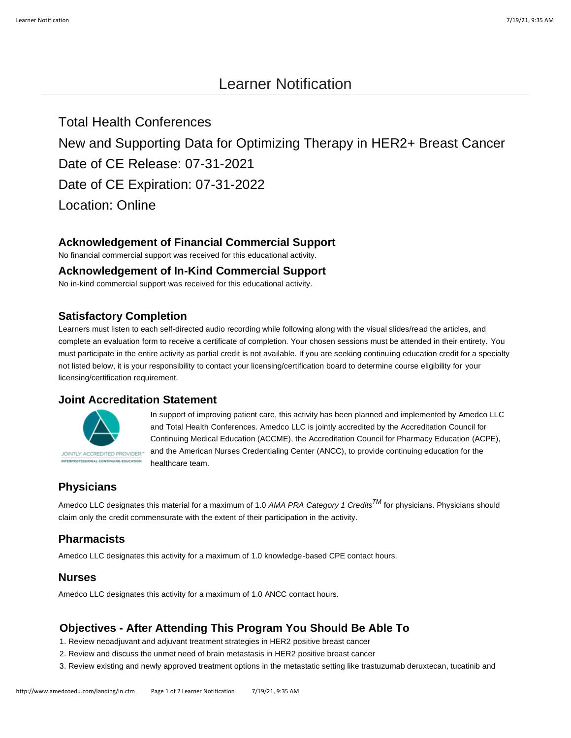# Learner Notification

Total Health Conferences New and Supporting Data for Optimizing Therapy in HER2+ Breast Cancer Date of CE Release: 07-31-2021 Date of CE Expiration: 07-31-2022 Location: Online

## **Acknowledgement of Financial Commercial Support**

No financial commercial support was received for this educational activity.

#### **Acknowledgement of In-Kind Commercial Support**

No in-kind commercial support was received for this educational activity.

#### **Satisfactory Completion**

Learners must listen to each self-directed audio recording while following along with the visual slides/read the articles, and complete an evaluation form to receive a certificate of completion. Your chosen sessions must be attended in their entirety. You must participate in the entire activity as partial credit is not available. If you are seeking continuing education credit for a specialty not listed below, it is your responsibility to contact your licensing/certification board to determine course eligibility for your licensing/certification requirement.

## **Joint Accreditation Statement**



In support of improving patient care, this activity has been planned and implemented by Amedco LLC and Total Health Conferences. Amedco LLC is jointly accredited by the Accreditation Council for Continuing Medical Education (ACCME), the Accreditation Council for Pharmacy Education (ACPE), and the American Nurses Credentialing Center (ANCC), to provide continuing education for the healthcare team.

# **Physicians**

Amedco LLC designates this material for a maximum of 1.0 *AMA PRA Category 1 CreditsTM* for physicians. Physicians should claim only the credit commensurate with the extent of their participation in the activity.

## **Pharmacists**

Amedco LLC designates this activity for a maximum of 1.0 knowledge-based CPE contact hours.

#### **Nurses**

Amedco LLC designates this activity for a maximum of 1.0 ANCC contact hours.

## **Objectives - After Attending This Program You Should Be Able To**

- 1. Review neoadjuvant and adjuvant treatment strategies in HER2 positive breast cancer
- 2. Review and discuss the unmet need of brain metastasis in HER2 positive breast cancer
- 3. Review existing and newly approved treatment options in the metastatic setting like trastuzumab deruxtecan, tucatinib and